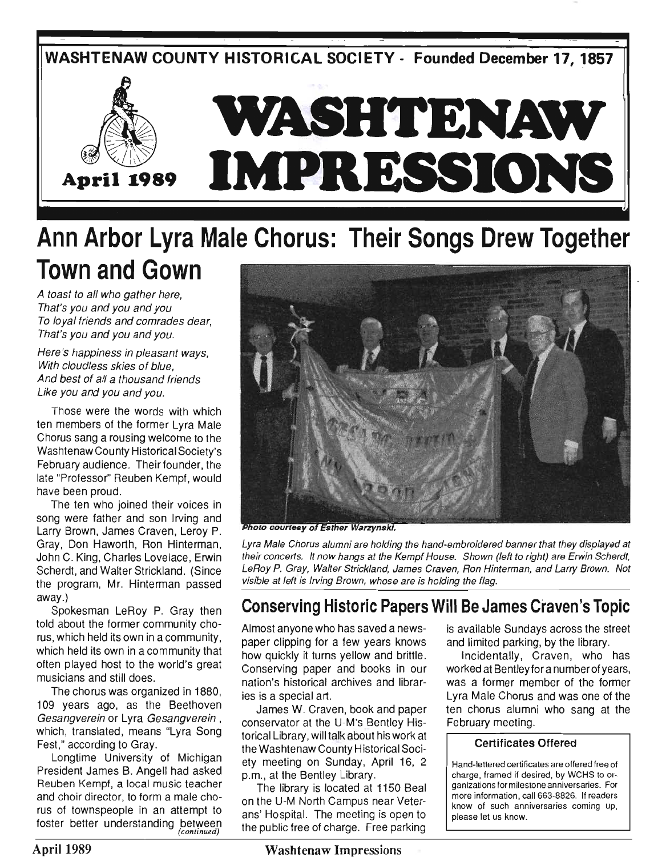

# **Ann Arbor Lyra Male Chorus: Their Songs Drew Together Town and Gown**

A toast to all who gather here, That's you and you and you To loyal friends and comrades dear, That's you and you and you.

Here's happiness in pleasant ways, With cloudless skies of blue. And best of all a thousand friends Like you and you and you.

Those were the words with which ten members of the former Lyra Male Chorus sang a rousing welcome to the Washtenaw County Historical Society's February audience. Their founder, the late "Professor" Reuben Kempf, would have been proud.

The ten who joined their voices in song were father and son Irving and Larry Brown, James Craven, Leroy P. Gray, Don Haworth, Ron Hinterman, John C. King, Charles Lovelace, Erwin Scherdt, and Walter Strickland. (Since the program, Mr. Hinterman passed away.)

Spokesman LeRoy P. Gray then told about the former community chorus, which held its own in a community, which held its own in a community that often played host to the world's great musicians and still does.

The chorus was organized in 1880, 109 years ago, as the Beethoven Gesangverein or Lyra Gesangverein , which, translated, means "Lyra Song Fest," according to Gray.

Longtime University of Michigan President James B. Angell had asked Reuben Kempf, a local music teacher and choir director, to form a male chorus of townspeople in an attempt to foster better understanding between *(continued)* 



Photo courtesy of Esther Warzynski.

Lyra Male Chorus alumni are holding the hand-embroidered banner that they displayed at their concerts. It now hangs at the Kempf House. Shown (left to right) are Erwin Scherdt, LeRoy P. Gray, Walter Strickland, James Craven, Ron Hinterman, and Larry Brown. Not visible at left is Irving Brown, whose are is holding the flag.

### **Conserving Historic Papers Will Be James Craven's Topic**

Almost anyone who has saved a newspaper clipping for a few years knows how quickly it turns yellow and brittle. Conserving paper and books in our nation's historical archives and libraries is a special art.

James W. Craven, book and paper conservator at the U-M's Bentley Historical Library, will talk about his work at the Washtenaw County Historical Society meeting on Sunday, April 16, 2 p.m., at the Bentley Library.

The library is located at 1150 Beal on the U-M North Campus near Veterans' Hospital. The meeting is open to the public free of charge. Free parking

is available Sundays across the street and limited parking, by the library.

InCidentally, Craven, who has worked at Bentleyfora number of years, was a former member of the former Lyra Male Chorus and was one of the ten chorus alumni who sang at the February meeting.

#### **Certificates Offered**

Hand-lettered certificates are offered free of charge, framed if desired, by WCHS to organizations for milestone anniversaries. For more information, call 663-8826. If readers know of such anniversaries coming up, please let us know.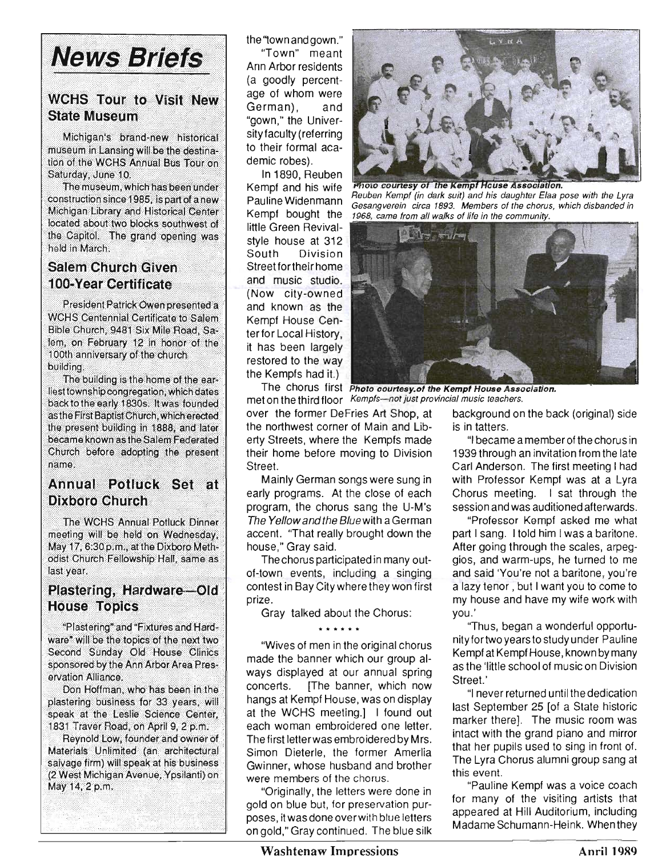# **News Briefs**

### **WCHS Tour to Visit New State Museum**

Michigan's brand-new historical museum in Lansing will be the destination of the WCHS Annual Bus Tour on Saturday, June 10.

The museum, which has been under construction since 1985, is part of a new Michigan Library and Historical Center located about two blocks southwest of the Capitol. The grand opening was held in March.

#### **Salem Church Given 100-Year Certificate**

President Patrick Owen presented a **WCHS Centennial Certificate to Salem** Bible Church, 9481 Six Mile Road, Salem, on February 12 in honor of the 100th anniversary of the church building.

The building is the home of the earliest township congregation, which dates back to the early 1830s. It was founded as the First Baptist Church, which erected the present building in 1888, and later became known as the Salem Federated Church before adopting the present name.

#### Annual Potluck Set at **Dixboro Church**

The WCHS Annual Potluck Dinner meeting will be held on Wednesday, May 17, 6:30 p.m., at the Dixboro Methodist Church Fellowship Hall, same as last year.

#### Plastering, Hardware-Old **House Topics**

"Plastering" and "Fixtures and Hardware" will be the topics of the next two Second Sunday Old House Clinics sponsored by the Ann Arbor Area Preservation Alliance.

Don Hoffman, who has been in the plastering business for 33 years, will speak at the Leslie Science Center, 1831 Traver Road, on April 9, 2 p.m.

Reynold Low, founder and owner of Materials Unlimited (an architectural salvage firm) will speak at his business (2 West Michigan Avenue, Ypsilanti) on May 14, 2 p.m.

the "town and gown." "Town" meant Ann Arbor residents (a goodly percentage of whom were German), and "gown," the Universityfaculty (referring to their formal academic robes).

In 1890, Reuben Kempf and his wife Pauline Widenmann Kempf bought the little Green Revivalstyle house at 312 South Division Street for their home and music studio. (Now city-owned and known as the Kempf House Center for Local History, it has been largely restored to the way the Kempfs had it.)

the northwest corner of Main and Lib- is in tatters. erty Streets, where the Kempfs made "I became a memberofthechorus in their home before moving to Division 1939 through an invitation from the late Street. Carl Anderson. The first meeting I had

early programs. At the close of each Chorus meeting. I sat through the program, the chorus sang the U-M's session and was auditioned afterwards. The Yellow and the Blue with a German "Professor Kempf asked me what accent. "That really brought down the part I sang. I told him I was a baritone. house," Gray said. The same same of the scales, are set of the scales, are also said.

of-town events, including a singing and said 'You're not a baritone, you're contest in Bay City where they won first a lazy tenor, but I want you to come to prize. my house and have my wife work with

Gray talked about the Chorus: you.'

"Wives of men in the original chorus made the banner which our group always displayed at our annual spring concerts. [The banner, which now hangs at Kempf House, was on display at the WCHS meeting.] I found out each woman embroidered one letter. The first letterwas embroidered by Mrs. Simon Dieterle, the former Amerlia Gwinner, whose husband and brother were members of the chorus.

"Originally, the letters were done in gold on blue but, for preservation purposes, itwas done overwith blue letters on gold," Gray continued. The blue silk



**Photo courtesy of the Kempf House Association.**<br>Reuben Kempf (in dark suit) and his daughter Elaa pose with the Lyra Gesangverein circa 1893. Members of the chorus, which disbanded in 1968, came from all walks of life in the community.



The chorus first Photo courtesy.of the Kempf House Association. met on the third floor Kempfs-not just provincial music teachers.

over the former DeFries Art Shop, at background on the back (original) side

Mainly German songs were sung in with Professor Kempf was at a Lyra

The chorus participated in many out-<br>gios, and warm-ups, he turned to me

\* \* \* \* \* \* ''Thus, began a wonderful opportu nityfortwo yearsto study under Pauline Kempf at Kempf House, known by many as the 'little school of music on Division Street.'

> "I never returned until the dedication last September 25 [of a State historic marker there]. The music room was intact with the grand piano and mirror that her pupils used to sing in front of. The Lyra Chorus alumni group sang at this event.

> "Pauline Kempf was a voice coach for many of the visiting artists that appeared at Hill Auditorium, including Madame Schumann-Heink. When they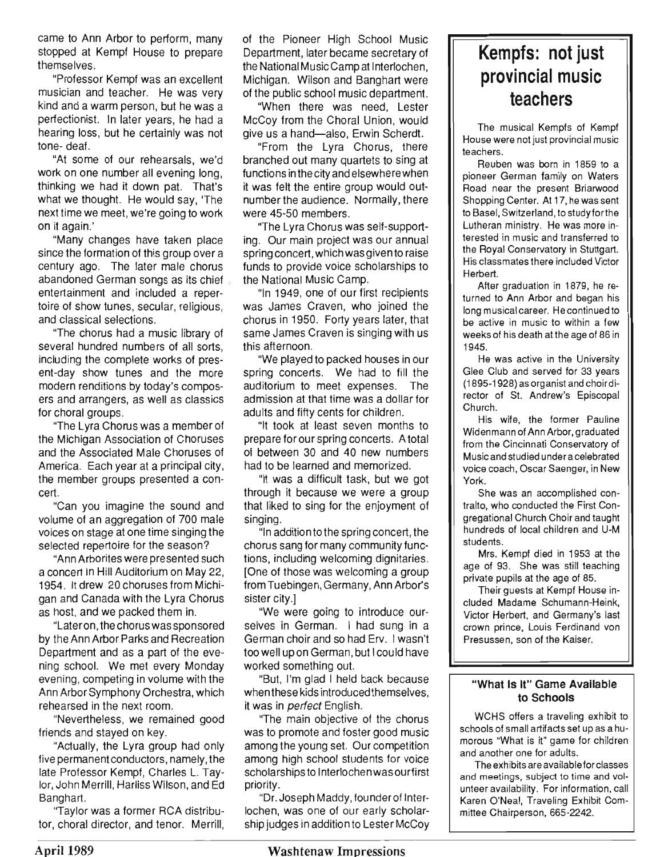came to Ann Arbor to perform, many stopped at Kempf House to prepare themselves.

"Professor Kempf was an excellent musician and teacher. He was very kind and a warm person, but he was a perfectionist. In later years, he had a hearing loss, but he certainly was not tone- deaf.

"At some of our rehearsals, we'd work on one number all evening long, thinking we had it down pat. That's what we thought. He would say, 'The next time we meet, we're going to work on it again.'

"Many changes have taken place since the formation of this group over a century ago. The later male chorus abandoned German songs as its chief entertainment and included a repertoire of show tunes, secular, religious, and classical selections.

"The chorus had a music library of several hundred numbers of all sorts, including the complete works of present-day show tunes and the more modern renditions by today's composers and arrangers, as well as classics for choral groups.

"The Lyra Chorus was a member of the Michigan Association of Choruses and the Associated Male Choruses of America. Each year at a principal city, the member groups presented a concert.

"Can you imagine the sound and volume of an aggregation of 700 male voices on stage at one time singing the selected repertoire for the season?

"Ann Arborites were presented such a concert in Hill Auditorium on May 22, 1954. It drew 20 choruses from Michigan and Canada with the Lyra Chorus as host, and we packed them in.

"Lateron, the chorus was sponsored by the Ann Arbor Parks and Recreation Department and as a part of the evening school. We met every Monday evening, competing in volume with the Ann Arbor Symphony Orchestra, which rehearsed in the next room.

"Nevertheless, we remained good friends and stayed on key.

"Actually, the Lyra group had only five permanent conductors, namely, the late Professor Kempf, Charles L. Taylor, John Merrill, Harliss Wilson, and Ed Banghart.

"Taylor was a former RCA distributor, choral director, and tenor. Merrill, of the Pioneer High School Music Department, later became secretary of the National Music Camp at Interlochen, Michigan. Wilson and Banghart were of the public school music department.

"When there was need, Lester McCoy from the Choral Union, would give us a hand-also, Erwin Scherdt.

"From the Lyra Chorus, there branched out many quartets to sing at functions in the city and elsewhere when it was felt the entire group would outnumber the audience. Normally, there were 45-50 members.

"The Lyra Chorus was self-supporting. Our main project was our annual spring concert, which was given to raise funds to provide voice scholarships to the National Music Camp.

"In 1949, one of our first recipients was James Craven, who joined the chorus in 1950. Forty years later, that same James Craven is singing with us this afternoon.

"We played to packed houses in our spring concerts. We had to fill the auditorium to meet expenses. The admission at that time was a dollar for adults and fifty cents for children.

"It took at least seven months to prepare for our spring concerts. A total of between 30 and 40 new numbers had to be learned and memorized.

"It was a difficult task, but we got through it because we were a group that liked to sing for the enjoyment of singing.

"In addition to the spring concert, the chorus sang for many community functions, including welcoming dignitaries. [One of those was welcoming a group from Tuebingen, Germany, Ann Arbor's sister city.]

"We were going to introduce ourselves in German. I had sung in a German choir and so had Erv. I wasn't too well up on German, but I could have worked something out.

"But, I'm glad I held back because when these kids introduced themselves, it was in perfect English.

''The main objective of the chorus was to promote and foster good music among the young set. Our competition among high school students for voice scholarships to Interlochenwas our first priority.

"Dr. Joseph Maddy, founderof Interlochen, was one of our early scholarship judges in addition to Lester McCoy

## **Kempfs: not just provincial music teachers**

The musical Kempfs of Kempf House were not just provincial music teachers.

Reuben was born in 1859 to a pioneer German family on Waters Road near the present Briarwood Shopping Center. At 17, he was sent to Basel, Switzerland, to studyforthe Lutheran ministry. He was more interested in music and transferred to the Royal Conservatory in Stuttgart. His classmates there included Victor Herbert.

After graduation in 1879, he returned to Ann Arbor and began his long musical career. He continued to be active in music to within a few weeks of his death at the age of 86 in 1945.

He was active in the University Glee Club and served for 33 years (1895-1928) as organist and choirdirector of St. Andrew's Episcopal Church.

His wife, the former Pauline Widenmann of Ann Arbor, graduated from the Cincinnati Conservatory of Music and studied under a celebrated voice coach, Oscar Saenger, in New York.

She was an accomplished contralto, who conducted the First Congregational Church Choir and taught hundreds of local children and U-M students.

Mrs. Kempf died in 1953 at the age of 93. She was still teaching private pupils at the age of 85.

Their guests at Kempf House included Madame Schumann-Heink, Victor Herbert, and Germany's last crown prince, Louis Ferdinand von Presussen, son of the Kaiser.

#### "What Is It" Game Available to Schools

WCHS offers a traveling exhibit to schools of small artifacts set up as a humorous "What is it" game for children and another one for adults.

The exhibits are available for classes and meetings, subject to time and volunteer availability. For information, call Karen O'Neal, Traveling Exhibit Committee Chairperson, 665-2242.